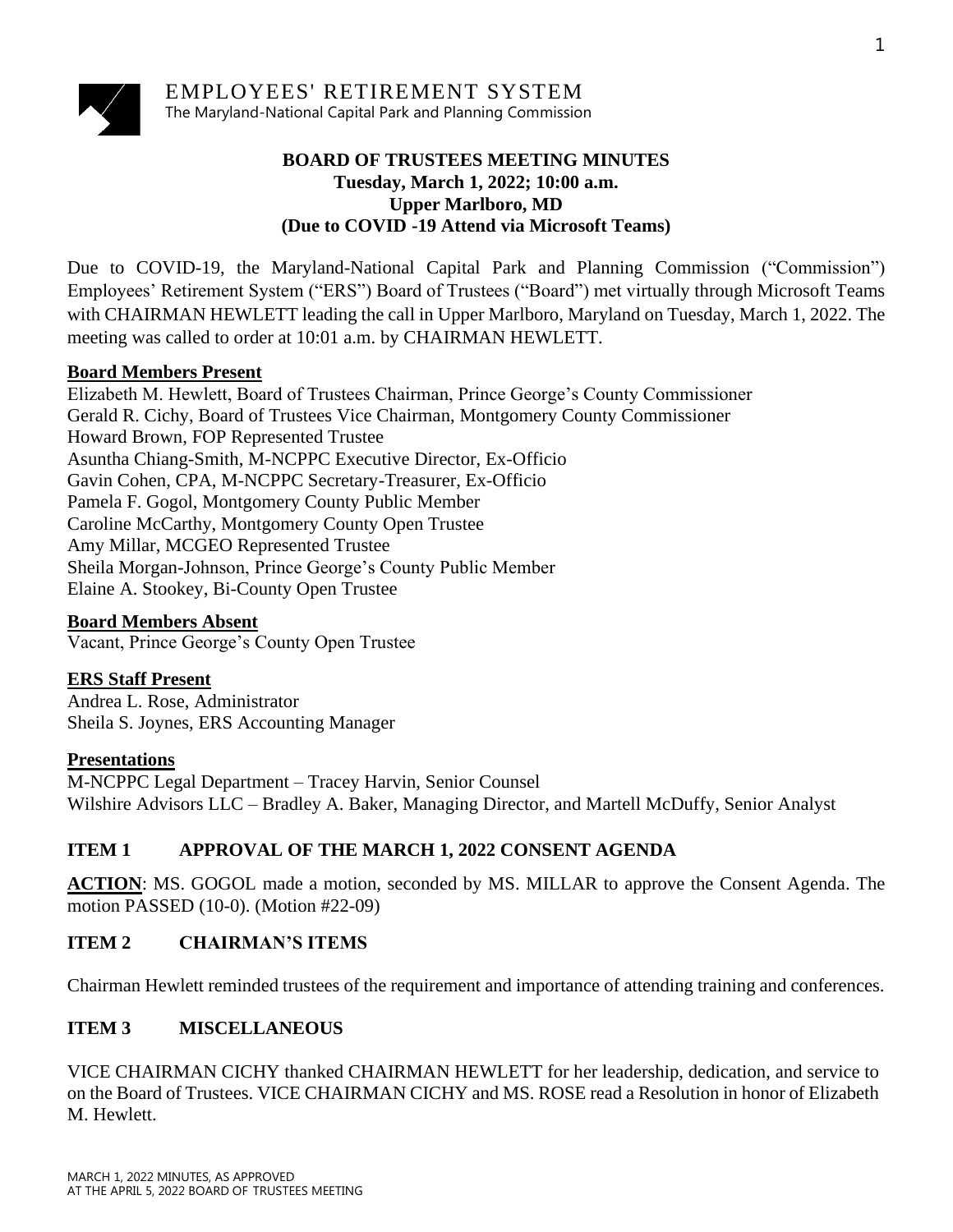

EMPLOYEES' RETIREMENT SYSTEM The Maryland-National Capital Park and Planning Commission

### **BOARD OF TRUSTEES MEETING MINUTES Tuesday, March 1, 2022; 10:00 a.m. Upper Marlboro, MD (Due to COVID -19 Attend via Microsoft Teams)**

Due to COVID-19, the Maryland-National Capital Park and Planning Commission ("Commission") Employees' Retirement System ("ERS") Board of Trustees ("Board") met virtually through Microsoft Teams with CHAIRMAN HEWLETT leading the call in Upper Marlboro, Maryland on Tuesday, March 1, 2022. The meeting was called to order at 10:01 a.m. by CHAIRMAN HEWLETT.

### **Board Members Present**

Elizabeth M. Hewlett, Board of Trustees Chairman, Prince George's County Commissioner Gerald R. Cichy, Board of Trustees Vice Chairman, Montgomery County Commissioner Howard Brown, FOP Represented Trustee Asuntha Chiang-Smith, M-NCPPC Executive Director, Ex-Officio Gavin Cohen, CPA, M-NCPPC Secretary-Treasurer, Ex-Officio Pamela F. Gogol, Montgomery County Public Member Caroline McCarthy, Montgomery County Open Trustee Amy Millar, MCGEO Represented Trustee Sheila Morgan-Johnson, Prince George's County Public Member Elaine A. Stookey, Bi-County Open Trustee

### **Board Members Absent**

Vacant, Prince George's County Open Trustee

## **ERS Staff Present**

Andrea L. Rose, Administrator Sheila S. Joynes, ERS Accounting Manager

### **Presentations**

M-NCPPC Legal Department – Tracey Harvin, Senior Counsel Wilshire Advisors LLC – Bradley A. Baker, Managing Director, and Martell McDuffy, Senior Analyst

## **ITEM 1 APPROVAL OF THE MARCH 1, 2022 CONSENT AGENDA**

**ACTION**: MS. GOGOL made a motion, seconded by MS. MILLAR to approve the Consent Agenda. The motion PASSED (10-0). (Motion #22-09)

## **ITEM 2 CHAIRMAN'S ITEMS**

Chairman Hewlett reminded trustees of the requirement and importance of attending training and conferences.

# **ITEM 3 MISCELLANEOUS**

VICE CHAIRMAN CICHY thanked CHAIRMAN HEWLETT for her leadership, dedication, and service to on the Board of Trustees. VICE CHAIRMAN CICHY and MS. ROSE read a Resolution in honor of Elizabeth M. Hewlett.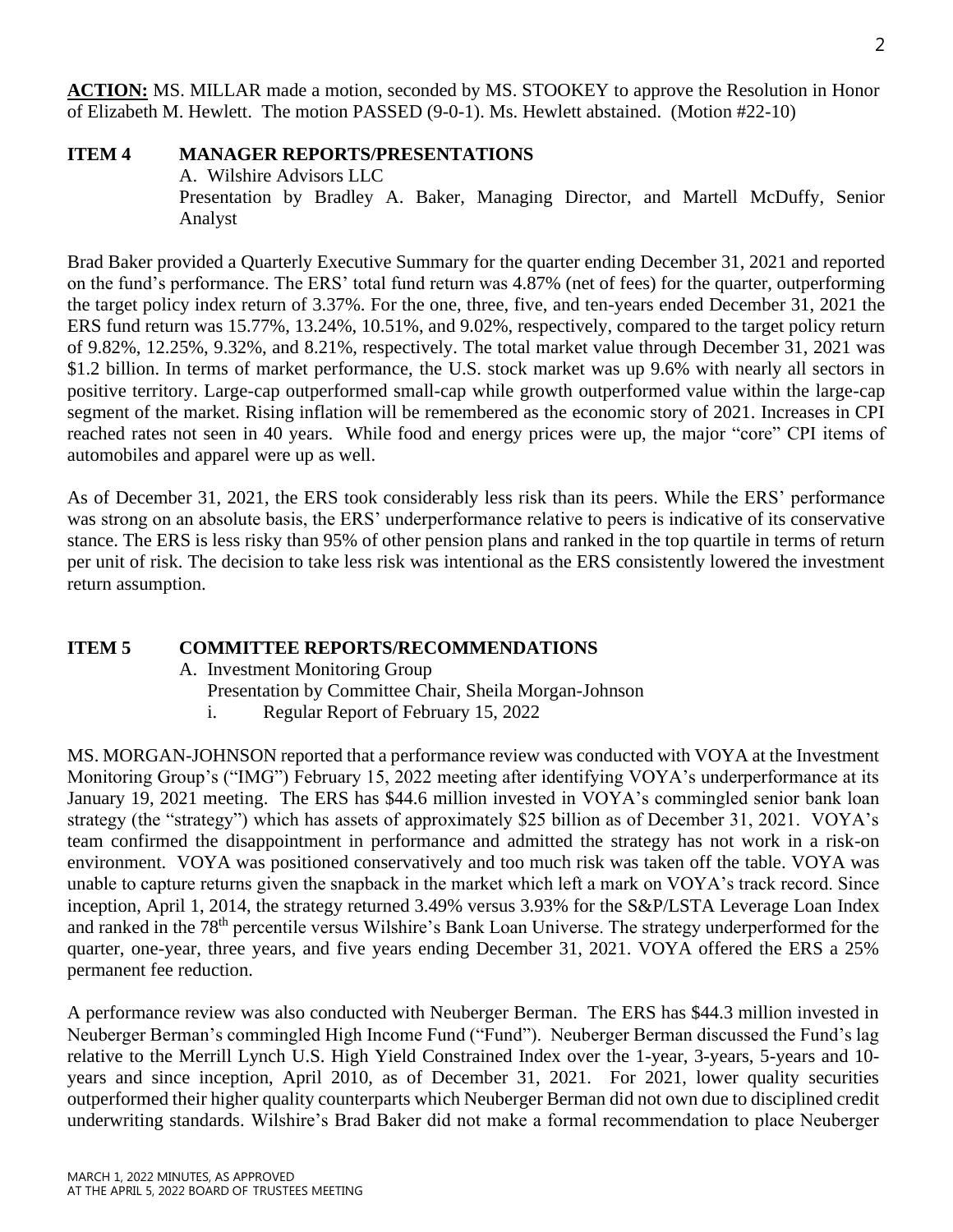**ACTION:** MS. MILLAR made a motion, seconded by MS. STOOKEY to approve the Resolution in Honor of Elizabeth M. Hewlett. The motion PASSED (9-0-1). Ms. Hewlett abstained. (Motion #22-10)

#### **ITEM 4 MANAGER REPORTS/PRESENTATIONS**

A. Wilshire Advisors LLC Presentation by Bradley A. Baker, Managing Director, and Martell McDuffy, Senior Analyst

Brad Baker provided a Quarterly Executive Summary for the quarter ending December 31, 2021 and reported on the fund's performance. The ERS' total fund return was 4.87% (net of fees) for the quarter, outperforming the target policy index return of 3.37%. For the one, three, five, and ten-years ended December 31, 2021 the ERS fund return was 15.77%, 13.24%, 10.51%, and 9.02%, respectively, compared to the target policy return of 9.82%, 12.25%, 9.32%, and 8.21%, respectively. The total market value through December 31, 2021 was \$1.2 billion. In terms of market performance, the U.S. stock market was up 9.6% with nearly all sectors in positive territory. Large-cap outperformed small-cap while growth outperformed value within the large-cap segment of the market. Rising inflation will be remembered as the economic story of 2021. Increases in CPI reached rates not seen in 40 years. While food and energy prices were up, the major "core" CPI items of automobiles and apparel were up as well.

As of December 31, 2021, the ERS took considerably less risk than its peers. While the ERS' performance was strong on an absolute basis, the ERS' underperformance relative to peers is indicative of its conservative stance. The ERS is less risky than 95% of other pension plans and ranked in the top quartile in terms of return per unit of risk. The decision to take less risk was intentional as the ERS consistently lowered the investment return assumption.

#### **ITEM 5 COMMITTEE REPORTS/RECOMMENDATIONS**

- A. Investment Monitoring Group
	- Presentation by Committee Chair, Sheila Morgan-Johnson
	- i. Regular Report of February 15, 2022

MS. MORGAN-JOHNSON reported that a performance review was conducted with VOYA at the Investment Monitoring Group's ("IMG") February 15, 2022 meeting after identifying VOYA's underperformance at its January 19, 2021 meeting. The ERS has \$44.6 million invested in VOYA's commingled senior bank loan strategy (the "strategy") which has assets of approximately \$25 billion as of December 31, 2021. VOYA's team confirmed the disappointment in performance and admitted the strategy has not work in a risk-on environment. VOYA was positioned conservatively and too much risk was taken off the table. VOYA was unable to capture returns given the snapback in the market which left a mark on VOYA's track record. Since inception, April 1, 2014, the strategy returned 3.49% versus 3.93% for the S&P/LSTA Leverage Loan Index and ranked in the 78<sup>th</sup> percentile versus Wilshire's Bank Loan Universe. The strategy underperformed for the quarter, one-year, three years, and five years ending December 31, 2021. VOYA offered the ERS a 25% permanent fee reduction.

A performance review was also conducted with Neuberger Berman. The ERS has \$44.3 million invested in Neuberger Berman's commingled High Income Fund ("Fund"). Neuberger Berman discussed the Fund's lag relative to the Merrill Lynch U.S. High Yield Constrained Index over the 1-year, 3-years, 5-years and 10 years and since inception, April 2010, as of December 31, 2021. For 2021, lower quality securities outperformed their higher quality counterparts which Neuberger Berman did not own due to disciplined credit underwriting standards. Wilshire's Brad Baker did not make a formal recommendation to place Neuberger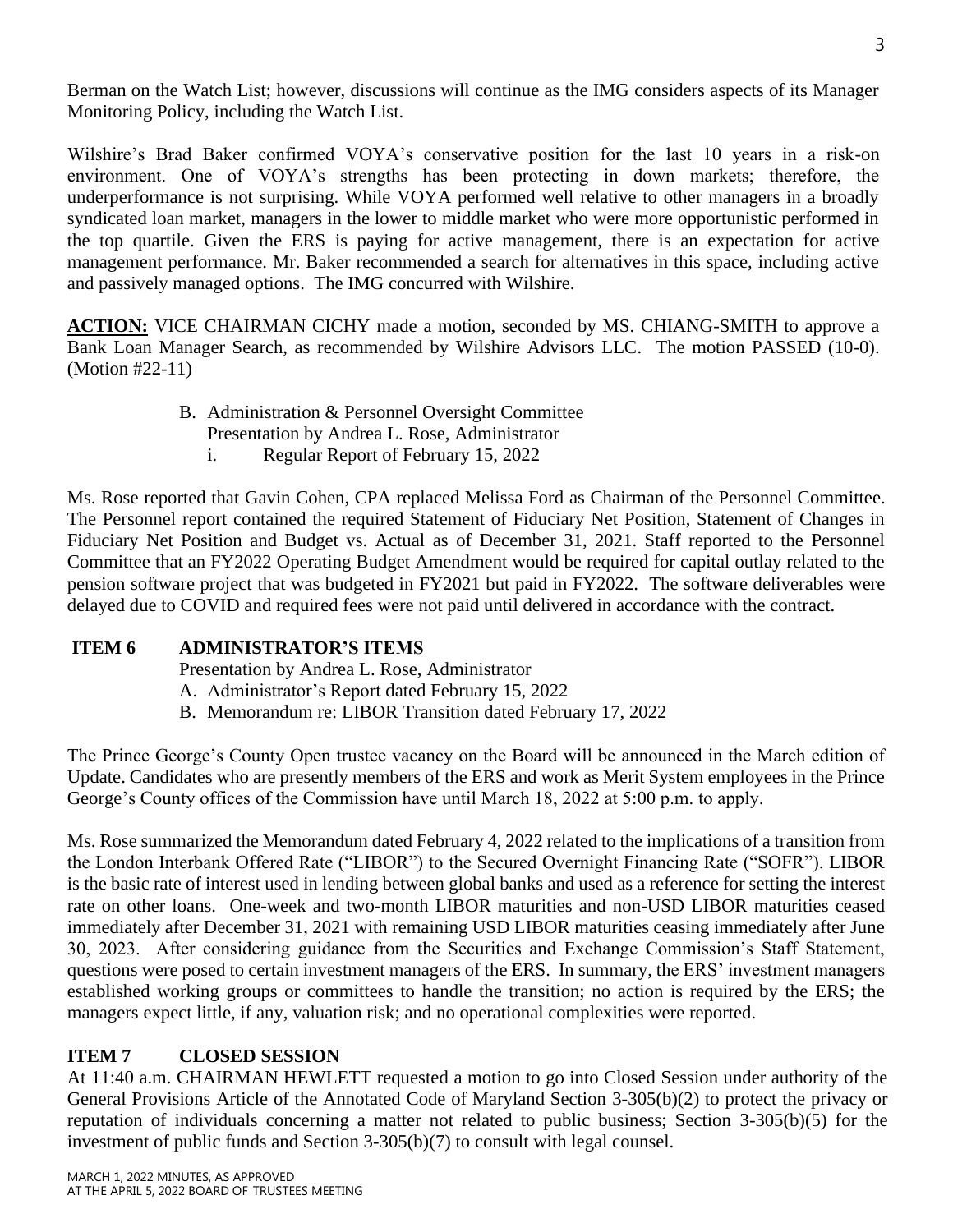Berman on the Watch List; however, discussions will continue as the IMG considers aspects of its Manager Monitoring Policy, including the Watch List.

Wilshire's Brad Baker confirmed VOYA's conservative position for the last 10 years in a risk-on environment. One of VOYA's strengths has been protecting in down markets; therefore, the underperformance is not surprising. While VOYA performed well relative to other managers in a broadly syndicated loan market, managers in the lower to middle market who were more opportunistic performed in the top quartile. Given the ERS is paying for active management, there is an expectation for active management performance. Mr. Baker recommended a search for alternatives in this space, including active and passively managed options. The IMG concurred with Wilshire.

**ACTION:** VICE CHAIRMAN CICHY made a motion, seconded by MS. CHIANG-SMITH to approve a Bank Loan Manager Search, as recommended by Wilshire Advisors LLC. The motion PASSED (10-0). (Motion #22-11)

- B. Administration & Personnel Oversight Committee
	- Presentation by Andrea L. Rose, Administrator
	- i. Regular Report of February 15, 2022

Ms. Rose reported that Gavin Cohen, CPA replaced Melissa Ford as Chairman of the Personnel Committee. The Personnel report contained the required Statement of Fiduciary Net Position, Statement of Changes in Fiduciary Net Position and Budget vs. Actual as of December 31, 2021. Staff reported to the Personnel Committee that an FY2022 Operating Budget Amendment would be required for capital outlay related to the pension software project that was budgeted in FY2021 but paid in FY2022. The software deliverables were delayed due to COVID and required fees were not paid until delivered in accordance with the contract.

### **ITEM 6 ADMINISTRATOR'S ITEMS**

Presentation by Andrea L. Rose, Administrator

- A. Administrator's Report dated February 15, 2022
- B. Memorandum re: LIBOR Transition dated February 17, 2022

The Prince George's County Open trustee vacancy on the Board will be announced in the March edition of Update. Candidates who are presently members of the ERS and work as Merit System employees in the Prince George's County offices of the Commission have until March 18, 2022 at 5:00 p.m. to apply.

Ms. Rose summarized the Memorandum dated February 4, 2022 related to the implications of a transition from the London Interbank Offered Rate ("LIBOR") to the Secured Overnight Financing Rate ("SOFR"). LIBOR is the basic rate of interest used in lending between global banks and used as a reference for setting the interest rate on other loans. One-week and two-month LIBOR maturities and non-USD LIBOR maturities ceased immediately after December 31, 2021 with remaining USD LIBOR maturities ceasing immediately after June 30, 2023. After considering guidance from the Securities and Exchange Commission's Staff Statement, questions were posed to certain investment managers of the ERS. In summary, the ERS' investment managers established working groups or committees to handle the transition; no action is required by the ERS; the managers expect little, if any, valuation risk; and no operational complexities were reported.

### **ITEM 7 CLOSED SESSION**

At 11:40 a.m. CHAIRMAN HEWLETT requested a motion to go into Closed Session under authority of the General Provisions Article of the Annotated Code of Maryland Section 3-305(b)(2) to protect the privacy or reputation of individuals concerning a matter not related to public business; Section 3-305(b)(5) for the investment of public funds and Section 3-305(b)(7) to consult with legal counsel.